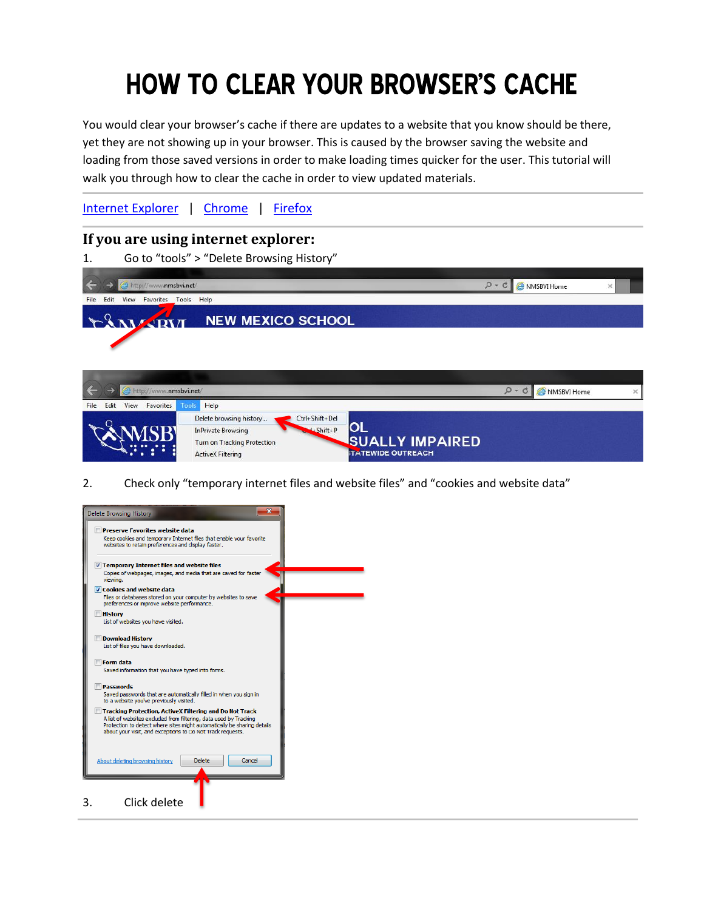# How to clear your browser's cache

You would clear your browser's cache if there are updates to a website that you know should be there, yet they are not showing up in your browser. This is caused by the browser saving the website and loading from those saved versions in order to make loading times quicker for the user. This tutorial will walk you through how to clear the cache in order to view updated materials.

[Internet Explorer](#page-0-0) | [Chrome](#page-1-0) | [Firefox](#page-3-0)

## <span id="page-0-0"></span>**If you are using internet explorer:**

1. Go to "tools" > "Delete Browsing History"



2. Check only "temporary internet files and website files" and "cookies and website data"

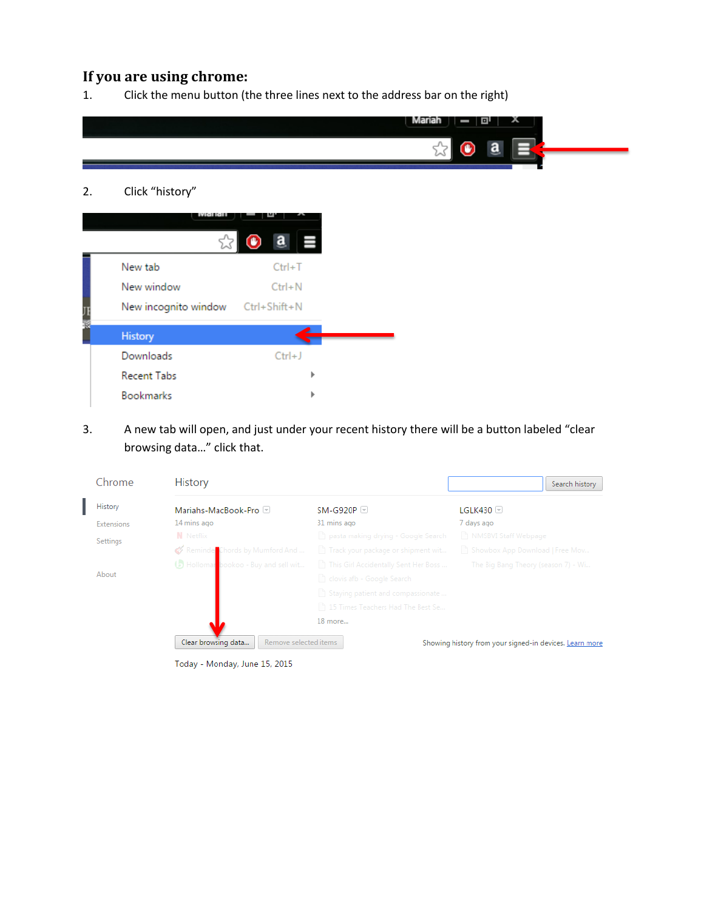# <span id="page-1-0"></span>**If you are using chrome:**

1. Click the menu button (the three lines next to the address bar on the right)

|                       |                                    | Mariah<br>미<br>ᄉ |
|-----------------------|------------------------------------|------------------|
|                       |                                    | a<br>$\bf \odot$ |
|                       |                                    |                  |
| Click "history"<br>2. |                                    |                  |
| <b>VARGE ROLL</b>     | 誊                                  |                  |
|                       | $\mathbf{a}$<br>E<br>$\circledast$ |                  |
| New tab               | $Ctrl+T$                           |                  |
| New window            | $Ctrl + N$                         |                  |
| New incognito window  | Ctrl+Shift+N                       |                  |
| <b>History</b>        |                                    |                  |
| Downloads             | $Ctrl + J$                         |                  |
| <b>Recent Tabs</b>    |                                    |                  |
| Bookmarks             | ь                                  |                  |

3. A new tab will open, and just under your recent history there will be a button labeled "clear browsing data…" click that.

| Chrome     | <b>History</b>                               |                                              | Search history                                          |
|------------|----------------------------------------------|----------------------------------------------|---------------------------------------------------------|
| History    | Mariahs-MacBook-Pro                          | $SM-G920P$                                   | IGI K430                                                |
| Extensions | 14 mins ago                                  | 31 mins ago                                  | 7 days ago                                              |
| Settings   | <b>N</b> Netflix                             | pasta making drying - Google Search          | NMSBVI Staff Webpage                                    |
|            | Reminder Chords by Mumford And               | Track your package or shipment wit           | Showbox App Download   Free Mov                         |
|            | Holloman bookoo - Buy and sell wit           | This Girl Accidentally Sent Her Boss         | The Big Bang Theory (season 7) - Wi                     |
| About      |                                              | clovis afb - Google Search                   |                                                         |
|            |                                              | $\uparrow$ Staying patient and compassionate |                                                         |
|            |                                              | 15 Times Teachers Had The Best Se            |                                                         |
|            |                                              | 18 more                                      |                                                         |
|            | Remove selected items<br>Clear browsing data |                                              | Showing history from your signed-in devices. Learn more |

Today - Monday, June 15, 2015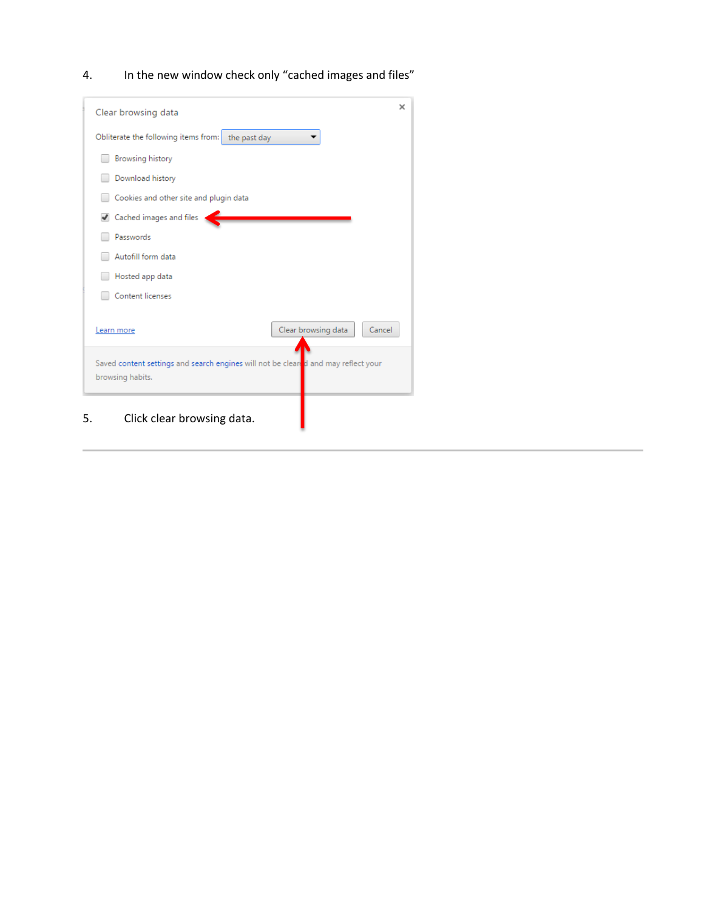4. In the new window check only "cached images and files"

| Clear browsing data                                                                                    | × |
|--------------------------------------------------------------------------------------------------------|---|
| Obliterate the following items from:<br>the past day                                                   |   |
| <b>Browsing history</b>                                                                                |   |
| Download history                                                                                       |   |
| Cookies and other site and plugin data                                                                 |   |
| Cached images and files                                                                                |   |
| Passwords                                                                                              |   |
| Autofill form data                                                                                     |   |
| Hosted app data                                                                                        |   |
| Content licenses                                                                                       |   |
| Clear browsing data<br>Cancel<br>Learn more                                                            |   |
| Saved content settings and search engines will not be cleared and may reflect your<br>browsing habits. |   |
| 5.<br>Click clear browsing data.                                                                       |   |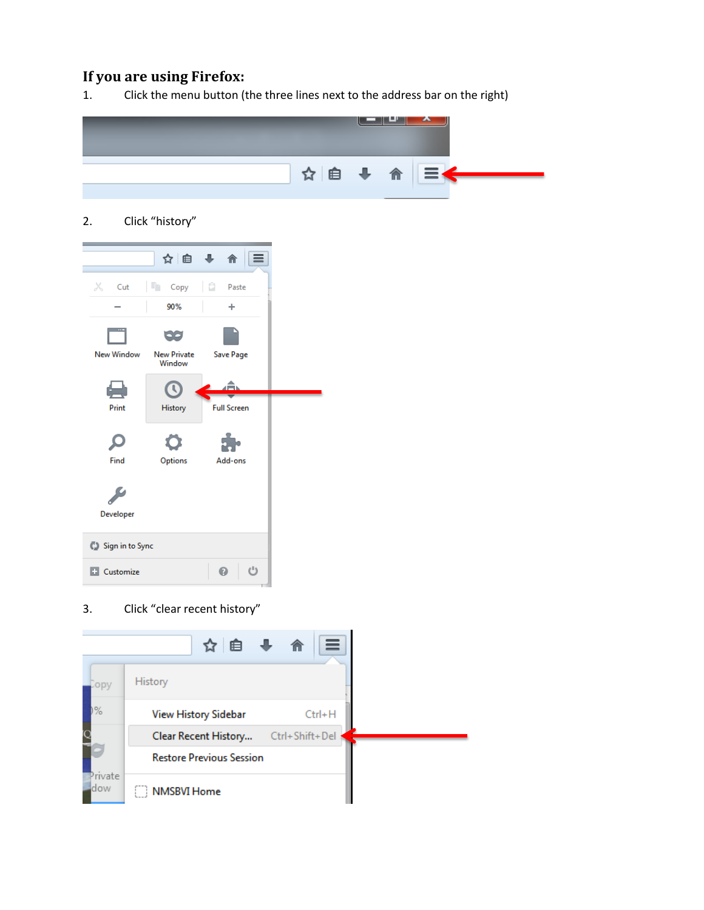### <span id="page-3-0"></span>**If you are using Firefox:**

1. Click the menu button (the three lines next to the address bar on the right)



2. Click "history"

|                   | ☆ 自 ↓ 合                      |                    |
|-------------------|------------------------------|--------------------|
| Ж<br>Cut          | <b>The Copy</b>   2 Paste    |                    |
|                   | 90%                          | ÷                  |
|                   | oo.                          |                    |
| <b>New Window</b> | <b>New Private</b><br>Window | Save Page          |
| أكأز              |                              |                    |
| Print             | History                      | <b>Full Screen</b> |
|                   |                              |                    |
|                   |                              |                    |
| Find              | Options                      | Add-ons            |
|                   |                              |                    |
| Developer         |                              |                    |
| Sign in to Sync   |                              |                    |
| <b>Customize</b>  |                              | එ<br>⋒.            |
|                   |                              |                    |

3. Click "clear recent history"